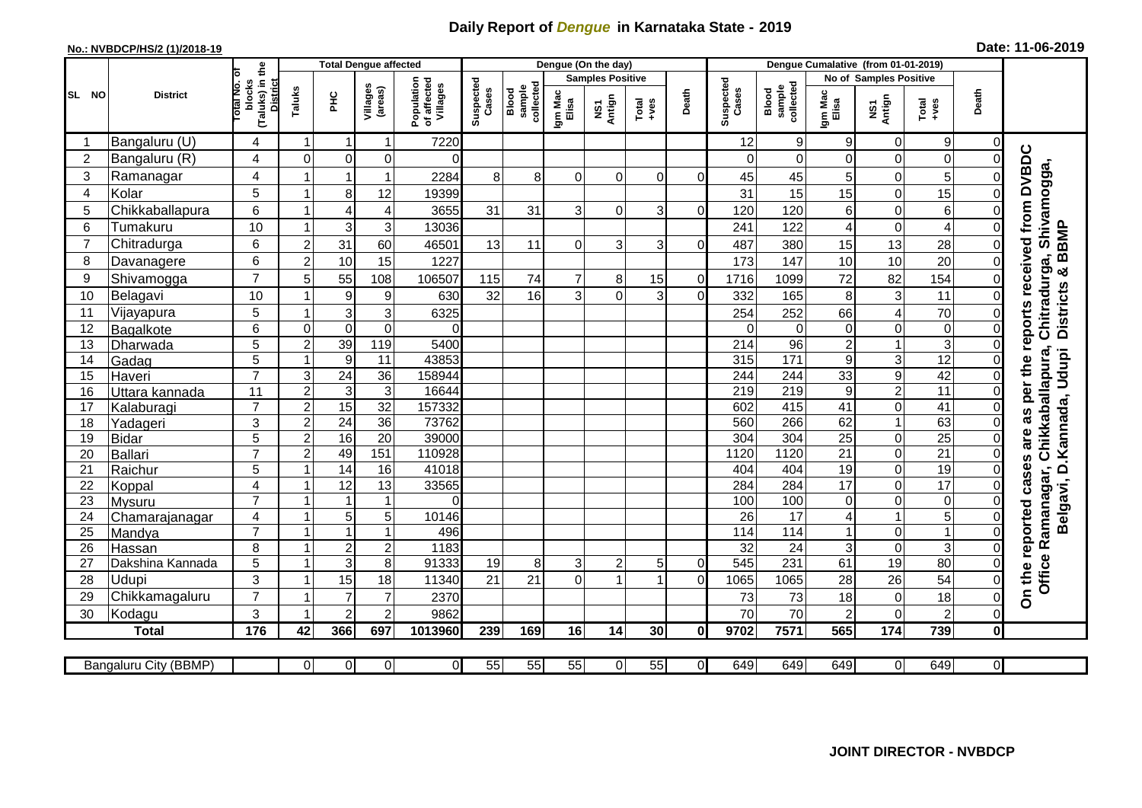## **Daily Report of** *Dengue* **in Karnataka State - 2019**

## **No.: NVBDCP/HS/2 (1)/2018-19 Date: 11-06-2019**

|                | <b>District</b>       |                                                    | <b>Total Dengue affected</b> |                  |                     |                                       |                    |                              |                         | Dengue (On the day) |                  |                |                    |                              |                  |                               |                  |                |                                                       |
|----------------|-----------------------|----------------------------------------------------|------------------------------|------------------|---------------------|---------------------------------------|--------------------|------------------------------|-------------------------|---------------------|------------------|----------------|--------------------|------------------------------|------------------|-------------------------------|------------------|----------------|-------------------------------------------------------|
|                |                       | Б                                                  |                              |                  |                     |                                       | Suspected<br>Cases |                              | <b>Samples Positive</b> |                     |                  |                |                    |                              |                  | <b>No of Samples Positive</b> |                  |                |                                                       |
| SL NO          |                       | (Taluks) in the<br>District<br>lotal No.<br>blocks | Taluks                       | ЭHС              | Villages<br>(areas) | Population<br>of affected<br>Villages |                    | sample<br>collected<br>Blood | Igm Mac<br>Elisa        | NS1<br>Antign       | $Tota$<br>$+ves$ | Death          | Suspected<br>Cases | collected<br>sample<br>Blood | Igm Mac<br>Elisa | NS1<br>Antign                 | Total<br>+ves    | Death          |                                                       |
|                | Bangaluru (U)         | 4                                                  | $\overline{1}$               | -1               | 1                   | 7220                                  |                    |                              |                         |                     |                  |                | 12                 | 9                            | 9                | $\Omega$                      | 9                | $\Omega$       |                                                       |
| $\overline{2}$ | Bangaluru (R)         | 4                                                  | 0                            | 0                | 0                   | 0                                     |                    |                              |                         |                     |                  |                |                    | 0                            | 0                | $\mathbf 0$                   | $\boldsymbol{0}$ | 0              |                                                       |
| 3              | Ramanagar             | 4                                                  |                              | -1               | 1                   | 2284                                  | 8                  | 8                            | $\Omega$                | $\Omega$            | $\Omega$         | $\Omega$       | 45                 | 45                           | 5                | 0                             | 5                | 0              | as per the reports received from DVBDC<br>Shivamogga, |
| $\overline{4}$ | Kolar                 | 5                                                  | $\overline{\mathbf{A}}$      | 8                | 12                  | 19399                                 |                    |                              |                         |                     |                  |                | 31                 | 15                           | 15               | $\overline{0}$                | 15               | 0              |                                                       |
| 5              | Chikkaballapura       | 6                                                  |                              | 4                | 4                   | 3655                                  | 31                 | 31                           | 3                       | $\Omega$            | 3                | $\Omega$       | 120                | 120                          | 6                | $\mathbf 0$                   | $\,6$            |                |                                                       |
| 6              | Tumakuru              | 10                                                 |                              | 3                | 3                   | 13036                                 |                    |                              |                         |                     |                  |                | 241                | 122                          | 4                | $\mathbf 0$                   | $\overline{4}$   | 0              |                                                       |
| $\overline{7}$ | Chitradurga           | 6                                                  | $\overline{2}$               | 31               | 60                  | 46501                                 | 13                 | 11                           | $\Omega$                | 3                   | 3                | $\Omega$       | 487                | 380                          | 15               | 13                            | 28               | 0              |                                                       |
| 8              | Davanagere            | 6                                                  | $\mathbf 2$                  | 10               | 15                  | 1227                                  |                    |                              |                         |                     |                  |                | 173                | 147                          | 10               | 10                            | 20               | $\overline{0}$ |                                                       |
| 9              | Shivamogga            | $\overline{7}$                                     | 5                            | 55               | 108                 | 106507                                | 115                | 74                           | 7                       | 8                   | 15               | $\overline{0}$ | 1716               | 1099                         | 72               | 82                            | 154              | 0              | Districts & BBMP<br>Chitradurga,                      |
| 10             | Belagavi              | 10                                                 |                              | $\boldsymbol{9}$ | $\boldsymbol{9}$    | 630                                   | 32                 | 16                           | 3                       | $\Omega$            | 3                | $\Omega$       | 332                | 165                          | 8                | $\mathbf{3}$                  | 11               | $\overline{0}$ |                                                       |
| 11             | Vijayapura            | 5                                                  |                              | 3                | 3                   | 6325                                  |                    |                              |                         |                     |                  |                | 254                | 252                          | 66               | 4                             | 70               |                |                                                       |
| 12             | Bagalkote             | 6                                                  | $\mathbf 0$                  | $\overline{0}$   | $\overline{0}$      | $\Omega$                              |                    |                              |                         |                     |                  |                | $\Omega$           | $\mathbf 0$                  | 0                | $\overline{0}$                | $\boldsymbol{0}$ | 0              |                                                       |
| 13             | Dharwada              | $\overline{5}$                                     | $\overline{2}$               | 39               | 119                 | 5400                                  |                    |                              |                         |                     |                  |                | $\overline{214}$   | 96                           | $\overline{2}$   | $\mathbf{1}$                  | $\overline{3}$   | 0              |                                                       |
| 14             | Gadag                 | $\overline{5}$                                     | $\overline{1}$               | 9                | $\overline{11}$     | 43853                                 |                    |                              |                         |                     |                  |                | 315                | 171                          | 9                | ω                             | 12               |                |                                                       |
| 15             | Haveri                | $\overline{7}$                                     | 3                            | $\overline{24}$  | $\overline{36}$     | 158944                                |                    |                              |                         |                     |                  |                | 244                | 244                          | 33               | $\boldsymbol{9}$              | 42               | 0              |                                                       |
| 16             | Uttara kannada        | 11                                                 | $\overline{2}$               | $\overline{3}$   | $\overline{3}$      | 16644                                 |                    |                              |                         |                     |                  |                | 219                | 219                          | 9                | $\overline{2}$                | 11               | 0              | Chikkaballapura,                                      |
| 17             | Kalaburagi            | $\overline{7}$                                     | $\overline{2}$               | 15               | $\overline{32}$     | 157332                                |                    |                              |                         |                     |                  |                | 602                | 415                          | 41               | $\mathbf 0$                   | $\overline{41}$  |                |                                                       |
| 18             | Yadageri              | 3                                                  | $\overline{2}$               | 24               | 36                  | 73762                                 |                    |                              |                         |                     |                  |                | 560                | 266                          | 62               | $\mathbf{1}$                  | 63               | $\overline{0}$ |                                                       |
| 19             | <b>Bidar</b>          | $\overline{5}$                                     | $\overline{2}$               | 16               | $\overline{20}$     | 39000                                 |                    |                              |                         |                     |                  |                | 304                | 304                          | $\overline{25}$  | O                             | 25               | 0              | are                                                   |
| 20             | <b>Ballari</b>        | $\overline{7}$                                     | $\overline{c}$               | 49               | 151                 | 110928                                |                    |                              |                         |                     |                  |                | 1120               | 1120                         | 21               | $\overline{0}$                | $\overline{21}$  | 0              |                                                       |
| 21             | Raichur               | 5                                                  | $\overline{ }$               | $\overline{14}$  | 16                  | 41018                                 |                    |                              |                         |                     |                  |                | 404                | 404                          | $\overline{19}$  | $\overline{0}$                | 19               | $\Omega$       | Belgavi, D. Kannada, Udupi<br>cases<br>Ramanagar,     |
| 22             | Koppal                | $\overline{\mathbf{4}}$                            |                              | $\overline{12}$  | $\overline{13}$     | 33565                                 |                    |                              |                         |                     |                  |                | 284                | 284                          | $\overline{17}$  | $\mathbf 0$                   | 17               |                |                                                       |
| 23             | Mysuru                | $\overline{7}$                                     |                              | $\overline{1}$   | $\mathbf{1}$        | $\Omega$                              |                    |                              |                         |                     |                  |                | 100                | 100                          | 0                | $\overline{0}$                | $\pmb{0}$        |                |                                                       |
| 24             | Chamarajanagar        | 4                                                  |                              | 5                | $\overline{5}$      | 10146                                 |                    |                              |                         |                     |                  |                | 26                 | $\overline{17}$              | 4                | $\mathbf{1}$                  | $\overline{5}$   |                |                                                       |
| 25             | Mandya                | $\overline{7}$                                     | $\overline{1}$               | $\overline{1}$   | $\mathbf{1}$        | 496                                   |                    |                              |                         |                     |                  |                | 114                | 114                          | 1                | $\mathbf 0$                   | $\mathbf{1}$     | 0              |                                                       |
| 26             | Hassan                | 8                                                  | -1                           | $\boldsymbol{2}$ | $\overline{c}$      | 1183                                  |                    |                              |                         |                     |                  |                | 32                 | 24                           | 3                | $\overline{0}$                | 3                | 0              |                                                       |
| 27             | Dakshina Kannada      | 5                                                  | $\overline{1}$               | 3                | 8                   | 91333                                 | 19                 | 8 <sup>1</sup>               | 3                       | $\overline{c}$      | 5                | $\overline{0}$ | 545                | 231                          | 61               | 19                            | $\overline{80}$  | 0              |                                                       |
| 28             | Udupi                 | 3                                                  | $\overline{\mathbf{1}}$      | 15               | 18                  | 11340                                 | 21                 | 21                           | $\Omega$                | 1                   |                  | $\Omega$       | 1065               | 1065                         | 28               | 26                            | 54               | 0              | On the reported<br>Office                             |
| 29             | Chikkamagaluru        | $\overline{7}$                                     |                              | $\overline{7}$   | $\overline{7}$      | 2370                                  |                    |                              |                         |                     |                  |                | 73                 | 73                           | 18               | $\mathsf 0$                   | 18               | $\Omega$       |                                                       |
| 30             | Kodagu                | 3                                                  |                              | $\overline{2}$   | $\overline{2}$      | 9862                                  |                    |                              |                         |                     |                  |                | 70                 | 70                           | $\overline{2}$   | 0                             | $\overline{c}$   | $\Omega$       |                                                       |
|                | <b>Total</b>          | 176                                                | 42                           | 366              | 697                 | 1013960                               | 239                | 169                          | 16                      | 14                  | 30               | 0              | 9702               | 7571                         | 565              | 174                           | 739              | 0              |                                                       |
|                | Bangaluru City (BBMP) |                                                    | $\Omega$                     | $\overline{0}$   | 0                   | $\overline{0}$                        | 55                 | 55                           | 55                      | $\Omega$            | 55               | $\overline{0}$ | 649                | 649                          | 649              | $\overline{0}$                | 649              | οI             |                                                       |